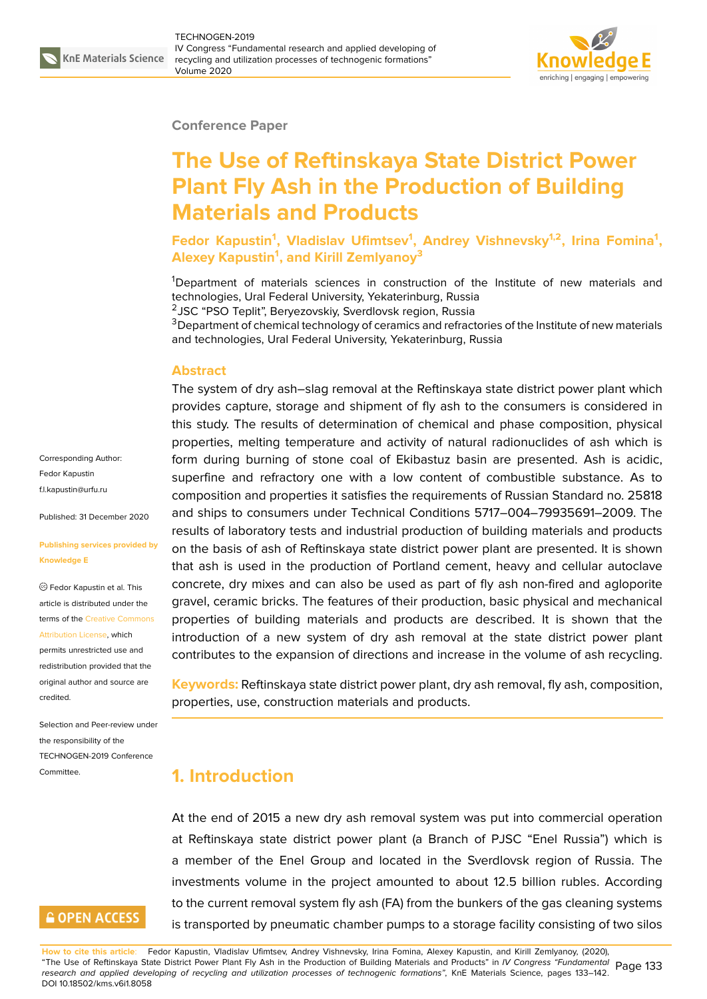#### **Conference Paper**

# **The Use of Reftinskaya State District Power Plant Fly Ash in the Production of Building Materials and Products**

**Fedor Kapustin<sup>1</sup> , Vladislav Ufimtsev<sup>1</sup> , Andrey Vishnevsky1,2, Irina Fomina<sup>1</sup> , Alexey Kapustin<sup>1</sup> , and Kirill Zemlyanoy<sup>3</sup>**

<sup>1</sup>Department of materials sciences in construction of the Institute of new materials and technologies, Ural Federal University, Yekaterinburg, Russia

<sup>2</sup>JSC "PSO Teplit", Beryezovskiy, Sverdlovsk region, Russia

<sup>3</sup>Department of chemical technology of ceramics and refractories of the Institute of new materials and technologies, Ural Federal University, Yekaterinburg, Russia

#### **Abstract**

The system of dry ash–slag removal at the Reftinskaya state district power plant which provides capture, storage and shipment of fly ash to the consumers is considered in this study. The results of determination of chemical and phase composition, physical properties, melting temperature and activity of natural radionuclides of ash which is form during burning of stone coal of Ekibastuz basin are presented. Ash is acidic, superfine and refractory one with a low content of combustible substance. As to composition and properties it satisfies the requirements of Russian Standard no. 25818 and ships to consumers under Technical Conditions 5717–004–79935691–2009. The results of laboratory tests and industrial production of building materials and products on the basis of ash of Reftinskaya state district power plant are presented. It is shown that ash is used in the production of Portland cement, heavy and cellular autoclave concrete, dry mixes and can also be used as part of fly ash non-fired and agloporite gravel, ceramic bricks. The features of their production, basic physical and mechanical properties of building materials and products are described. It is shown that the introduction of a new system of dry ash removal at the state district power plant contributes to the expansion of directions and increase in the volume of ash recycling.

**Keywords:** Reftinskaya state district power plant, dry ash removal, fly ash, composition, properties, use, construction materials and products.

#### **1. Introduction**

At the end of 2015 a new dry ash removal system was put into commercial operation at Reftinskaya state district power plant (a Branch of PJSC "Enel Russia") which is a member of the Enel Group and located in the Sverdlovsk region of Russia. The investments volume in the project amounted to about 12.5 billion rubles. According to the current removal system fly ash (FA) from the bunkers of the gas cleaning systems is transported by pneumatic chamber pumps to a storage facility consisting of two silos

Corresponding Author: Fedor Kapustin f.l.kapustin@urfu.ru

Published: 31 December 2020

#### **[Publishing service](mailto:f.l.kapustin@urfu.ru)s provided by Knowledge E**

Fedor Kapustin et al. This article is distributed under the terms of the Creative Commons Attribution License, which

permits unrestricted use and redistribution provided that the original auth[or and source are](https://creativecommons.org/licenses/by/4.0/) [credited.](https://creativecommons.org/licenses/by/4.0/)

Selection and Peer-review under the responsibility of the TECHNOGEN-2019 Conference Committee.

# **GOPEN ACCESS**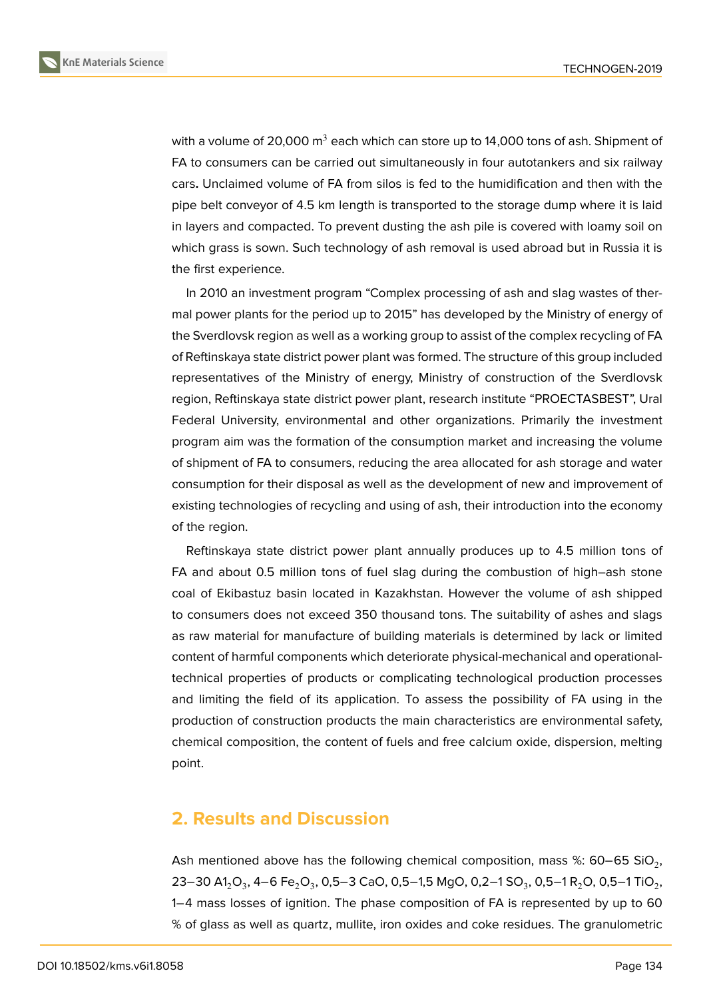

with a volume of 20,000  $m^3$  each which can store up to 14,000 tons of ash. Shipment of FA to consumers can be carried out simultaneously in four autotankers and six railway cars**.** Unclaimed volume of FA from silos is fed to the humidification and then with the pipe belt conveyor of 4.5 km length is transported to the storage dump where it is laid in layers and compacted. To prevent dusting the ash pile is covered with loamy soil on which grass is sown. Such technology of ash removal is used abroad but in Russia it is the first experience.

In 2010 an investment program "Complex processing of ash and slag wastes of thermal power plants for the period up to 2015" has developed by the Ministry of energy of the Sverdlovsk region as well as a working group to assist of the complex recycling of FA of Reftinskaya state district power plant was formed. The structure of this group included representatives of the Ministry of energy, Ministry of construction of the Sverdlovsk region, Reftinskaya state district power plant, research institute "PROECTASBEST", Ural Federal University, environmental and other organizations. Primarily the investment program aim was the formation of the consumption market and increasing the volume of shipment of FA to consumers, reducing the area allocated for ash storage and water consumption for their disposal as well as the development of new and improvement of existing technologies of recycling and using of ash, their introduction into the economy of the region.

Reftinskaya state district power plant annually produces up to 4.5 million tons of FA and about 0.5 million tons of fuel slag during the combustion of high–ash stone coal of Ekibastuz basin located in Kazakhstan. However the volume of ash shipped to consumers does not exceed 350 thousand tons. The suitability of ashes and slags as raw material for manufacture of building materials is determined by lack or limited content of harmful components which deteriorate physical-mechanical and operationaltechnical properties of products or complicating technological production processes and limiting the field of its application. To assess the possibility of FA using in the production of construction products the main characteristics are environmental safety, chemical composition, the content of fuels and free calcium oxide, dispersion, melting point.

#### **2. Results and Discussion**

Ash mentioned above has the following chemical composition, mass %: 60–65 SiO $_2$ , 23–30 A1 $_{2}$ O $_{3}$ , 4–6 Fe $_{2}$ O $_{3}$ , 0,5–3 CaO, 0,5–1,5 MgO, 0,2–1 SO $_{3}$ , 0,5–1 R $_{2}$ O, 0,5–1 TiO $_{2}$ , 1−4 mass losses of ignition. The phase composition of FA is represented by up to 60 % of glass as well as quartz, mullite, iron oxides and coke residues. The granulometric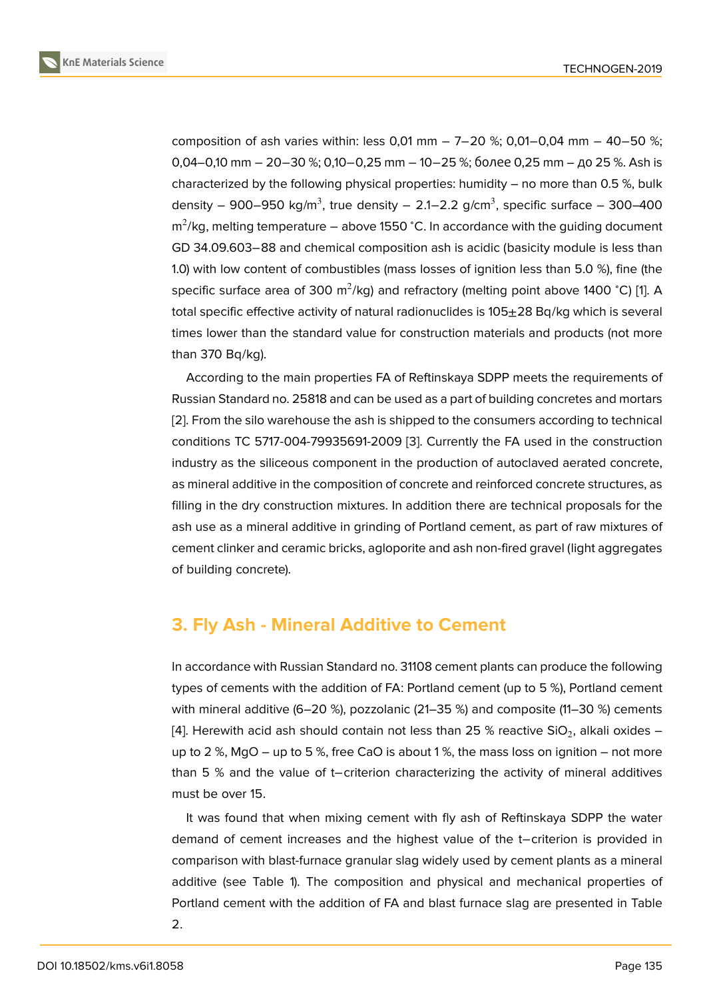composition of ash varies within: less 0,01 mm − 7−20 %; 0,01−0,04 mm − 40−50 %; 0,04–0,10 mm − 20−30 %; 0,10−0,25 mm − 10−25 %; более 0,25 mm – до 25 %. Ash is characterized by the following physical properties: humidity  $-$  no more than 0.5 %, bulk density – 900–950 kg/m<sup>3</sup>, true density – 2.1–2.2 g/cm<sup>3</sup>, specific surface – 300–400 m<sup>2</sup>/kg, melting temperature – above 1550 °C. In accordance with the guiding document GD 34.09.603−88 and chemical composition ash is acidic (basicity module is less than 1.0) with low content of combustibles (mass losses of ignition less than 5.0 %), fine (the specific surface area of 300 m $^2$ /kg) and refractory (melting point above 1400 °C) [1]. A total specific effective activity of natural radionuclides is  $105\pm28$  Bq/kg which is several times lower than the standard value for construction materials and products (not more than 370 Bq/kg).

According to the main properties FA of Reftinskaya SDPP meets the requirements of Russian Standard no. 25818 and can be used as a part of building concretes and mortars [2]. From the silo warehouse the ash is shipped to the consumers according to technical conditions TC 5717-004-79935691-2009 [3]. Currently the FA used in the construction industry as the siliceous component in the production of autoclaved aerated concrete, [as](#page-8-0) mineral additive in the composition of concrete and reinforced concrete structures, as filling in the dry construction mixtures. In [ad](#page-8-1)dition there are technical proposals for the ash use as a mineral additive in grinding of Portland cement, as part of raw mixtures of cement clinker and ceramic bricks, agloporite and ash non-fired gravel (light aggregates of building concrete).

#### **3. Fly Ash - Mineral Additive to Cement**

In accordance with Russian Standard no. 31108 cement plants can produce the following types of cements with the addition of FA: Portland cement (up to 5 %), Portland cement with mineral additive (6–20 %), pozzolanic (21–35 %) and composite (11–30 %) cements [4]. Herewith acid ash should contain not less than 25 % reactive SiO $_2$ , alkali oxides – up to 2 %, MgO – up to 5 %, free CaO is about 1 %, the mass loss on ignition – not more than 5 % and the value of t−criterion characterizing the activity of mineral additives [mu](#page-8-2)st be over 15.

It was found that when mixing cement with fly ash of Reftinskaya SDPP the water demand of cement increases and the highest value of the t−criterion is provided in comparison with blast-furnace granular slag widely used by cement plants as a mineral additive (see Table 1). The composition and physical and mechanical properties of Portland cement with the addition of FA and blast furnace slag are presented in Table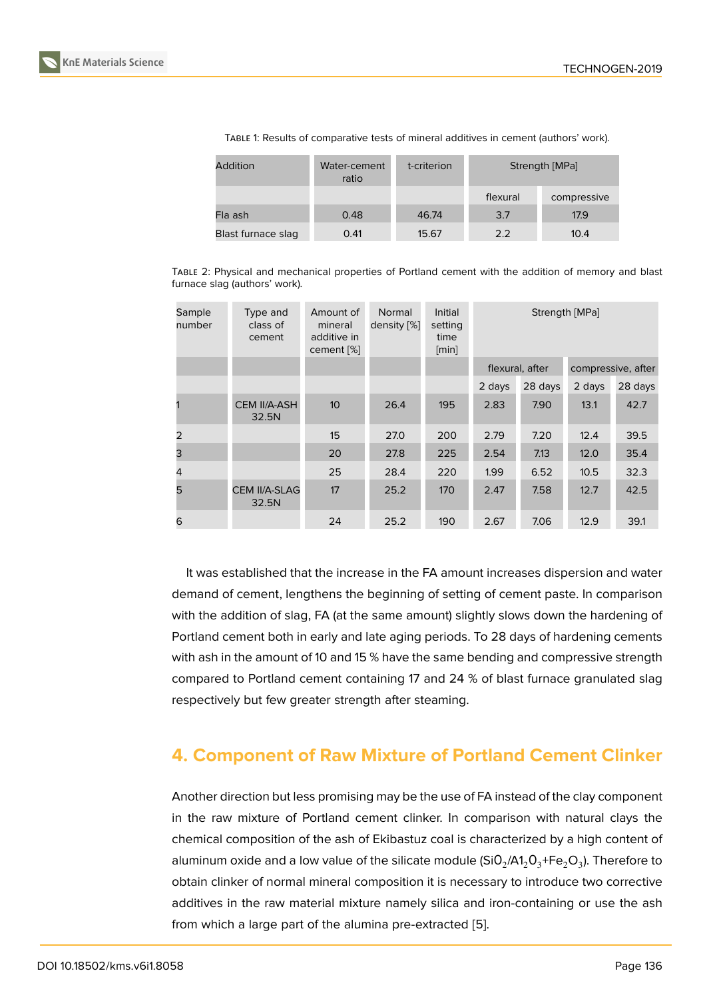| Addition           | Water-cement<br>ratio | t-criterion | Strength [MPa] |             |  |
|--------------------|-----------------------|-------------|----------------|-------------|--|
|                    |                       |             | flexural       | compressive |  |
| Fla ash            | 0.48                  | 46.74       | 3.7            | 17.9        |  |
| Blast furnace slag | 0.41                  | 15.67       | 2.2            | 10.4        |  |

TABLE 1: Results of comparative tests of mineral additives in cement (authors' work).

TABLE 2: Physical and mechanical properties of Portland cement with the addition of memory and blast furnace slag (authors' work).

| Sample<br>number | Type and<br>class of<br>cement | Amount of<br>mineral<br>additive in<br>cement [%] | Normal<br>density [%] | Initial<br>setting<br>time<br>[min] | Strength [MPa]  |         |                    |         |
|------------------|--------------------------------|---------------------------------------------------|-----------------------|-------------------------------------|-----------------|---------|--------------------|---------|
|                  |                                |                                                   |                       |                                     | flexural, after |         | compressive, after |         |
|                  |                                |                                                   |                       |                                     | 2 days          | 28 days | 2 days             | 28 days |
|                  | <b>CEM II/A-ASH</b><br>32.5N   | 10 <sup>2</sup>                                   | 26.4                  | 195                                 | 2.83            | 7.90    | 13.1               | 42.7    |
| 2                |                                | 15                                                | 27.0                  | 200                                 | 2.79            | 7.20    | 12.4               | 39.5    |
| 3                |                                | 20                                                | 27.8                  | 225                                 | 2.54            | 7.13    | 12.0               | 35.4    |
| $\overline{4}$   |                                | 25                                                | 28.4                  | 220                                 | 1.99            | 6.52    | 10.5               | 32.3    |
| 5                | <b>CEM II/A-SLAG</b><br>32.5N  | 17                                                | 25.2                  | 170                                 | 2.47            | 7.58    | 12.7               | 42.5    |
| 6                |                                | 24                                                | 25.2                  | 190                                 | 2.67            | 7.06    | 12.9               | 39.1    |

It was established that the increase in the FA amount increases dispersion and water demand of cement, lengthens the beginning of setting of cement paste. In comparison with the addition of slag, FA (at the same amount) slightly slows down the hardening of Portland cement both in early and late aging periods. To 28 days of hardening cements with ash in the amount of 10 and 15 % have the same bending and compressive strength compared to Portland cement containing 17 and 24 % of blast furnace granulated slag respectively but few greater strength after steaming.

### **4. Component of Raw Mixture of Portland Cement Clinker**

Another direction but less promising may be the use of FA instead of the clay component in the raw mixture of Portland cement clinker. In comparison with natural clays the chemical composition of the ash of Ekibastuz coal is characterized by a high content of aluminum oxide and a low value of the silicate module (SiO $_2$ /A1 $_2$ O $_3^+$ Fe $_2$ O $_3$ ). Therefore to obtain clinker of normal mineral composition it is necessary to introduce two corrective additives in the raw material mixture namely silica and iron-containing or use the ash from which a large part of the alumina pre-extracted [5].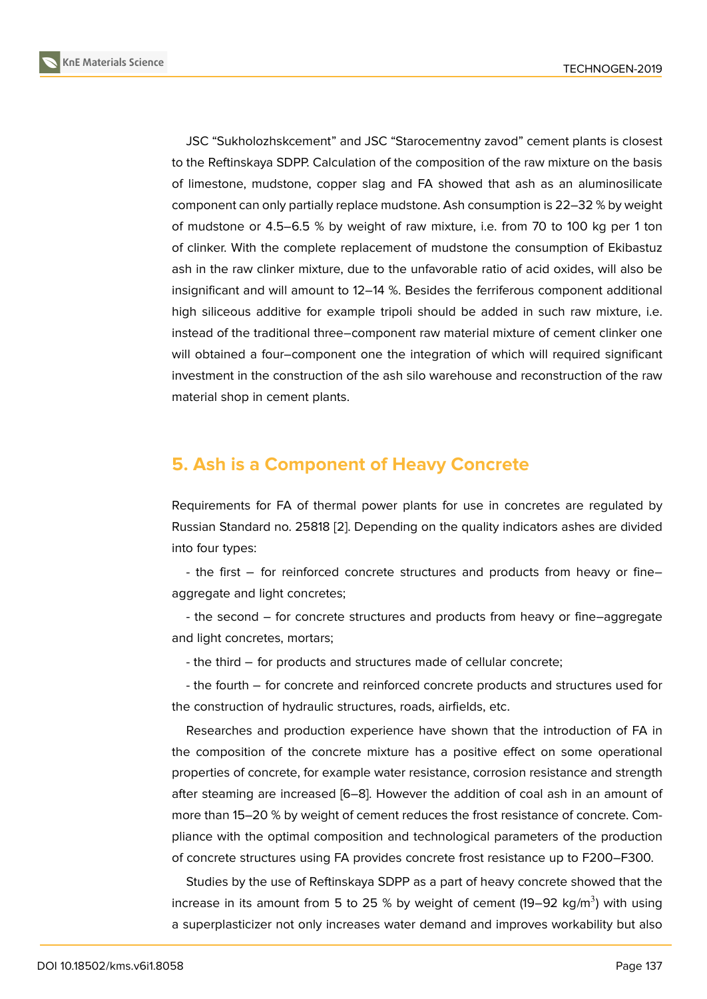JSC "Sukholozhskcement" and JSC "Starocementny zavod" cement plants is closest to the Reftinskaya SDPP. Calculation of the composition of the raw mixture on the basis of limestone, mudstone, copper slag and FA showed that ash as an aluminosilicate component can only partially replace mudstone. Ash consumption is 22–32 % by weight of mudstone or 4.5–6.5 % by weight of raw mixture, i.e. from 70 to 100 kg per 1 ton of clinker. With the complete replacement of mudstone the consumption of Ekibastuz ash in the raw clinker mixture, due to the unfavorable ratio of acid oxides, will also be insignificant and will amount to 12–14 %. Besides the ferriferous component additional high siliceous additive for example tripoli should be added in such raw mixture, i.e. instead of the traditional three–component raw material mixture of cement clinker one will obtained a four–component one the integration of which will required significant investment in the construction of the ash silo warehouse and reconstruction of the raw material shop in cement plants.

# **5. Ash is a Component of Heavy Concrete**

Requirements for FA of thermal power plants for use in concretes are regulated by Russian Standard no. 25818 [2]. Depending on the quality indicators ashes are divided into four types:

- the first − for reinforced concrete structures and products from heavy or fine– aggregate and light concrete[s;](#page-8-0)

- the second – for concrete structures and products from heavy or fine–aggregate and light concretes, mortars;

- the third − for products and structures made of cellular concrete;

- the fourth − for concrete and reinforced concrete products and structures used for the construction of hydraulic structures, roads, airfields, etc.

Researches and production experience have shown that the introduction of FA in the composition of the concrete mixture has a positive effect on some operational properties of concrete, for example water resistance, corrosion resistance and strength after steaming are increased [6–8]. However the addition of coal ash in an amount of more than 15–20 % by weight of cement reduces the frost resistance of concrete. Compliance with the optimal composition and technological parameters of the production of concrete structures using FA provides concrete frost resistance up to F200–F300.

Studies by the use of Reftinskaya SDPP as a part of heavy concrete showed that the increase in its amount from 5 to 25 % by weight of cement (19–92 kg/m<sup>3</sup>) with using a superplasticizer not only increases water demand and improves workability but also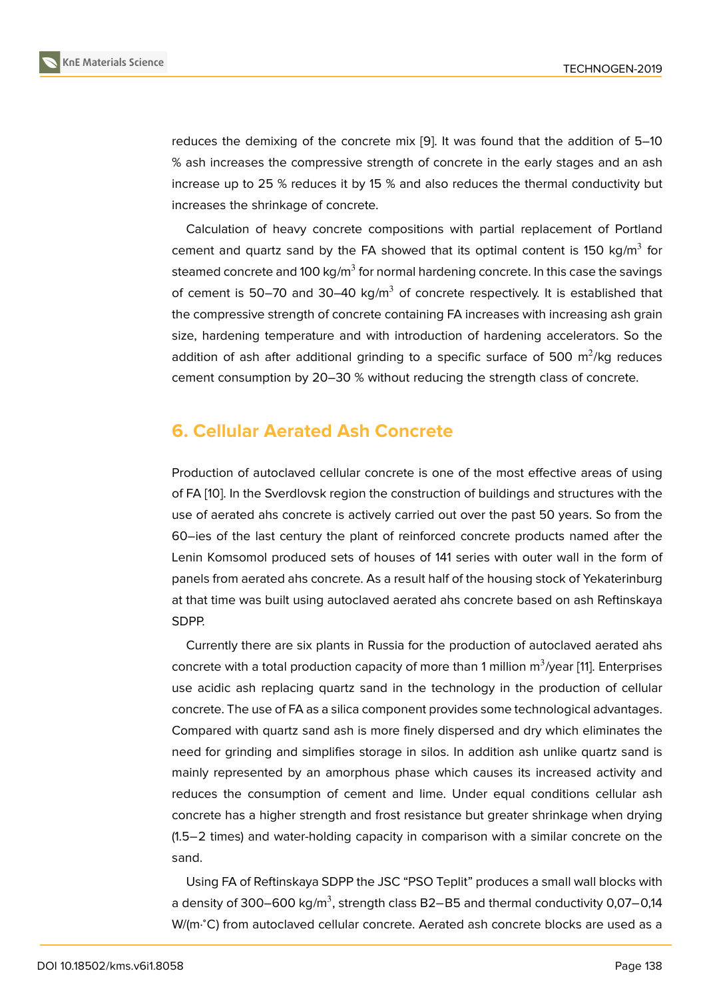reduces the demixing of the concrete mix [9]. It was found that the addition of 5–10 % ash increases the compressive strength of concrete in the early stages and an ash increase up to 25 % reduces it by 15 % and also reduces the thermal conductivity but increases the shrinkage of concrete.

Calculation of heavy concrete compositions with partial replacement of Portland cement and quartz sand by the FA showed that its optimal content is 150 kg/m<sup>3</sup> for steamed concrete and 100 kg/m $^3$  for normal hardening concrete. In this case the savings of cement is 50–70 and 30–40 kg/ $m<sup>3</sup>$  of concrete respectively. It is established that the compressive strength of concrete containing FA increases with increasing ash grain size, hardening temperature and with introduction of hardening accelerators. So the addition of ash after additional grinding to a specific surface of 500  $\mathrm{m}^2\mathrm{/kg}$  reduces cement consumption by 20–30 % without reducing the strength class of concrete.

### **6. Cellular Aerated Ash Concrete**

Production of autoclaved cellular concrete is one of the most effective areas of using of FA [10]. In the Sverdlovsk region the construction of buildings and structures with the use of aerated ahs concrete is actively carried out over the past 50 years. So from the 60–ies of the last century the plant of reinforced concrete products named after the Lenin [Ko](#page-9-0)msomol produced sets of houses of 141 series with outer wall in the form of panels from aerated ahs concrete. As a result half of the housing stock of Yekaterinburg at that time was built using autoclaved aerated ahs concrete based on ash Reftinskaya SDPP.

Currently there are six plants in Russia for the production of autoclaved aerated ahs concrete with a total production capacity of more than 1 million  $\mathsf{m}^3/\mathsf{year}$  [11]. Enterprises use acidic ash replacing quartz sand in the technology in the production of cellular concrete. The use of FA as a silica component provides some technological advantages. Compared with quartz sand ash is more finely dispersed and dry which [e](#page-9-1)liminates the need for grinding and simplifies storage in silos. In addition ash unlike quartz sand is mainly represented by an amorphous phase which causes its increased activity and reduces the consumption of cement and lime. Under equal conditions cellular ash concrete has a higher strength and frost resistance but greater shrinkage when drying (1.5−2 times) and water-holding capacity in comparison with a similar concrete on the sand.

Using FA of Reftinskaya SDPP the JSC "PSO Teplit" produces a small wall blocks with a density of 300–600 kg/m $^3$ , strength class B2–B5 and thermal conductivity 0,07–0,14 W/(m⋅°C) from autoclaved cellular concrete. Aerated ash concrete blocks are used as a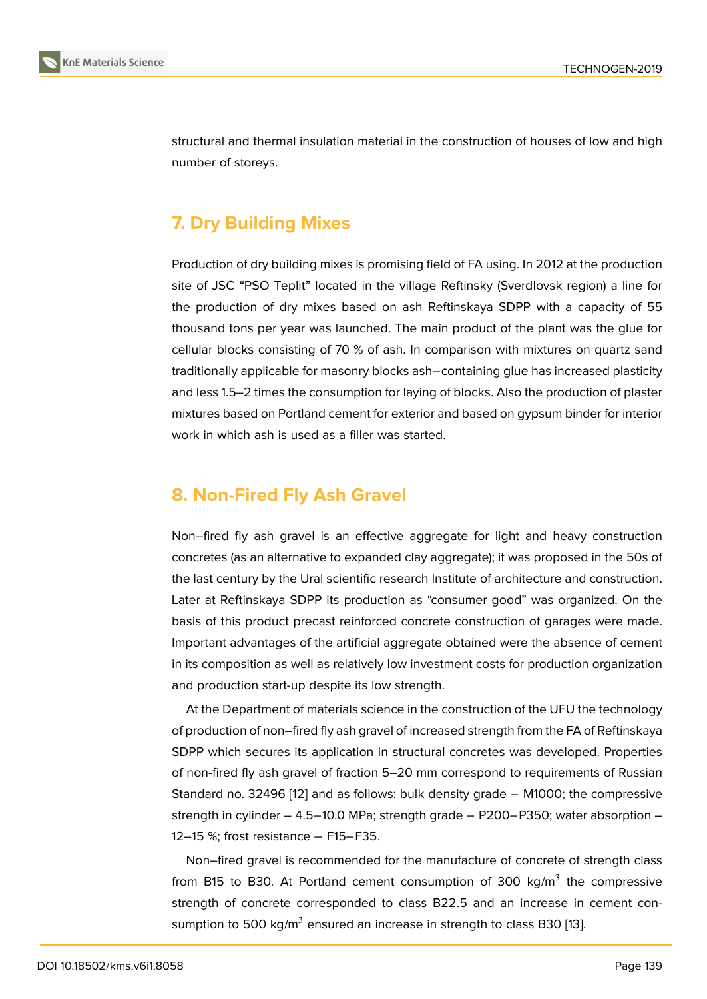structural and thermal insulation material in the construction of houses of low and high number of storeys.

# **7. Dry Building Mixes**

Production of dry building mixes is promising field of FA using. In 2012 at the production site of JSC "PSO Teplit" located in the village Reftinsky (Sverdlovsk region) a line for the production of dry mixes based on ash Reftinskaya SDPP with a capacity of 55 thousand tons per year was launched. The main product of the plant was the glue for cellular blocks consisting of 70 % of ash. In comparison with mixtures on quartz sand traditionally applicable for masonry blocks ash−containing glue has increased plasticity and less 1.5–2 times the consumption for laying of blocks. Also the production of plaster mixtures based on Portland cement for exterior and based on gypsum binder for interior work in which ash is used as a filler was started.

# **8. Non-Fired Fly Ash Gravel**

Non–fired fly ash gravel is an effective aggregate for light and heavy construction concretes (as an alternative to expanded clay aggregate); it was proposed in the 50s of the last century by the Ural scientific research Institute of architecture and construction. Later at Reftinskaya SDPP its production as "consumer good" was organized. On the basis of this product precast reinforced concrete construction of garages were made. Important advantages of the artificial aggregate obtained were the absence of cement in its composition as well as relatively low investment costs for production organization and production start-up despite its low strength.

At the Department of materials science in the construction of the UFU the technology of production of non–fired fly ash gravel of increased strength from the FA of Reftinskaya SDPP which secures its application in structural concretes was developed. Properties of non-fired fly ash gravel of fraction 5–20 mm correspond to requirements of Russian Standard no. 32496 [12] and as follows: bulk density grade − M1000; the compressive strength in cylinder – 4.5−10.0 MPa; strength grade − P200−P350; water absorption – 12–15 %; frost resistance – F15–F35.

Non–fired gravel i[s re](#page-9-2)commended for the manufacture of concrete of strength class from B15 to B30. At Portland cement consumption of 300 kg/m<sup>3</sup> the compressive strength of concrete corresponded to class B22.5 and an increase in cement consumption to 500 kg/ $m^3$  ensured an increase in strength to class B30 [13].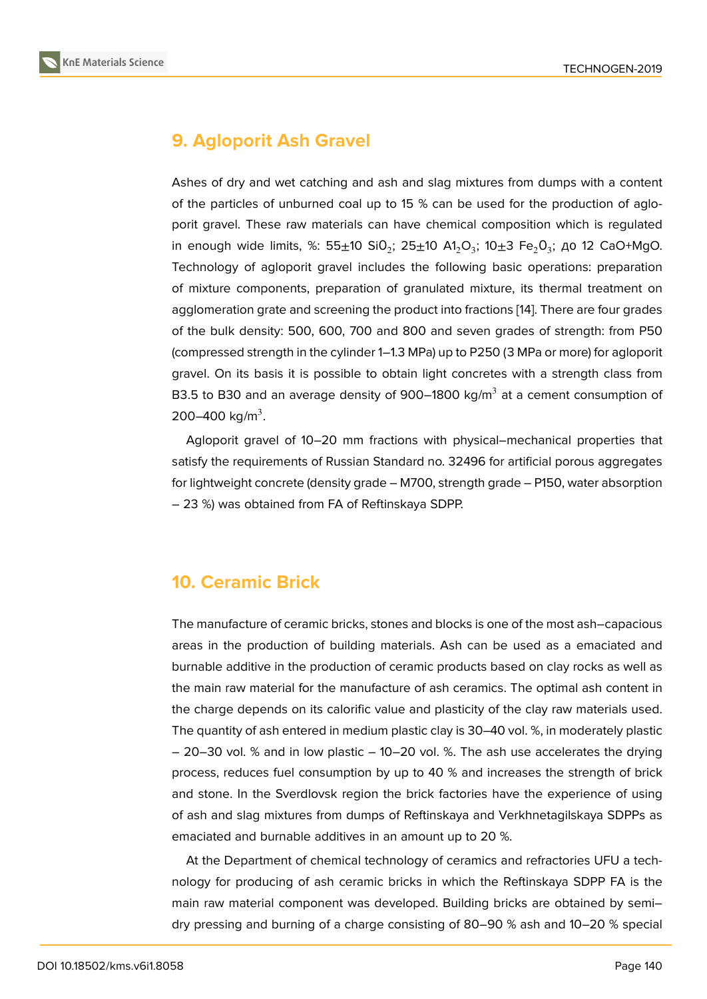# **9. Agloporit Ash Gravel**

Ashes of dry and wet catching and ash and slag mixtures from dumps with a content of the particles of unburned coal up to 15 % can be used for the production of agloporit gravel. These raw materials can have chemical composition which is regulated in enough wide limits, %: 55 $\pm$ 10 SiO $_2$ ; 25 $\pm$ 10 A1 $_2$ O $_3$ ; 10 $\pm$ 3 Fe $_2$ O $_3$ ; до 12 CaO+MgO. Technology of agloporit gravel includes the following basic operations: preparation of mixture components, preparation of granulated mixture, its thermal treatment on agglomeration grate and screening the product into fractions [14]. There are four grades of the bulk density: 500, 600, 700 and 800 and seven grades of strength: from P50 (compressed strength in the cylinder 1–1.3 MPa) up to P250 (3 MPa or more) for agloporit gravel. On its basis it is possible to obtain light concretes [with](#page-9-3) a strength class from B3.5 to B30 and an average density of 900–1800 kg/m $^3$  at a cement consumption of 200–400 kg/m<sup>3</sup>.

Agloporit gravel of 10–20 mm fractions with physical–mechanical properties that satisfy the requirements of Russian Standard no. 32496 for artificial porous aggregates for lightweight concrete (density grade – M700, strength grade – P150, water absorption – 23 %) was obtained from FA of Reftinskaya SDPP.

### **10. Ceramic Brick**

The manufacture of ceramic bricks, stones and blocks is one of the most ash–capacious areas in the production of building materials. Ash can be used as a emaciated and burnable additive in the production of ceramic products based on clay rocks as well as the main raw material for the manufacture of ash ceramics. The optimal ash content in the charge depends on its calorific value and plasticity of the clay raw materials used. The quantity of ash entered in medium plastic clay is 30–40 vol. %, in moderately plastic – 20–30 vol. % and in low plastic – 10–20 vol. %. The ash use accelerates the drying process, reduces fuel consumption by up to 40 % and increases the strength of brick and stone. In the Sverdlovsk region the brick factories have the experience of using of ash and slag mixtures from dumps of Reftinskaya and Verkhnetagilskaya SDPPs as emaciated and burnable additives in an amount up to 20 %.

At the Department of chemical technology of ceramics and refractories UFU a technology for producing of ash ceramic bricks in which the Reftinskaya SDPP FA is the main raw material component was developed. Building bricks are obtained by semi– dry pressing and burning of a charge consisting of 80–90 % ash and 10–20 % special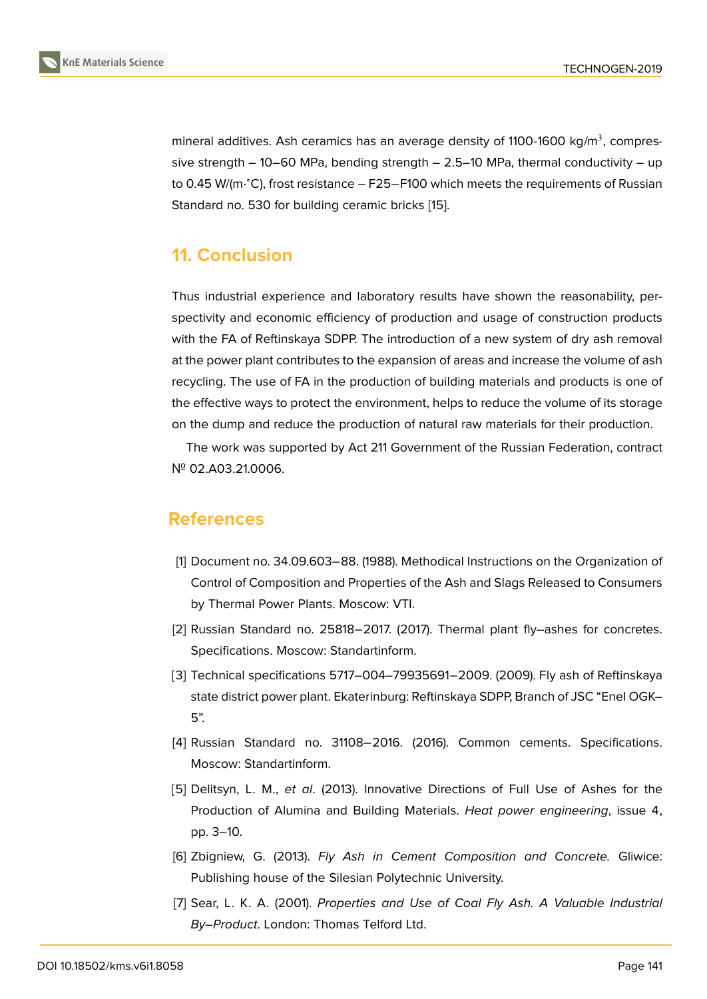mineral additives. Ash ceramics has an average density of 1100-1600 kg/m $^3$ , compressive strength  $-10-60$  MPa, bending strength  $-2.5-10$  MPa, thermal conductivity  $-$  up to 0.45 W/(m⋅°C), frost resistance – F25–F100 which meets the requirements of Russian Standard no. 530 for building ceramic bricks [15].

### **11. Conclusion**

Thus industrial experience and laboratory results have shown the reasonability, perspectivity and economic efficiency of production and usage of construction products with the FA of Reftinskaya SDPP. The introduction of a new system of dry ash removal at the power plant contributes to the expansion of areas and increase the volume of ash recycling. The use of FA in the production of building materials and products is one of the effective ways to protect the environment, helps to reduce the volume of its storage on the dump and reduce the production of natural raw materials for their production.

The work was supported by Act 211 Government of the Russian Federation, contract № 02.A03.21.0006.

#### **References**

- [1] Document no. 34.09.603–88. (1988). Methodical Instructions on the Organization of Control of Composition and Properties of the Ash and Slags Released to Consumers by Thermal Power Plants. Moscow: VTI.
- [2] Russian Standard no. 25818−2017. (2017). Thermal plant fly–ashes for concretes. Specifications. Moscow: Standartinform.
- <span id="page-8-0"></span>[3] Technical specifications 5717–004–79935691−2009. (2009). Fly ash of Reftinskaya state district power plant. Ekaterinburg: Reftinskaya SDPP, Branch of JSC "Enel OGK– 5".
- <span id="page-8-1"></span>[4] Russian Standard no. 31108−2016. (2016). Common cements. Specifications. Moscow: Standartinform.
- <span id="page-8-2"></span>[5] Delitsyn, L. M., *et al*. (2013). Innovative Directions of Full Use of Ashes for the Production of Alumina and Building Materials. *Heat power engineering*, issue 4, pp. 3–10.
- [6] Zbigniew, G. (2013). *Fly Ash in Cement Composition and Concrete.* Gliwice: Publishing house of the Silesian Polytechnic University.
- [7] Sear, L. K. A. (2001). *Properties and Use of Coal Fly Ash. A Valuable Industrial By–Product*. London: Thomas Telford Ltd.